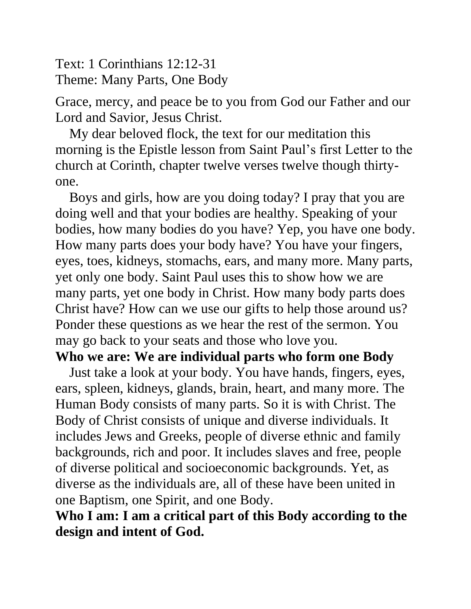Text: 1 Corinthians 12:12-31 Theme: Many Parts, One Body

Grace, mercy, and peace be to you from God our Father and our Lord and Savior, Jesus Christ.

My dear beloved flock, the text for our meditation this morning is the Epistle lesson from Saint Paul's first Letter to the church at Corinth, chapter twelve verses twelve though thirtyone.

Boys and girls, how are you doing today? I pray that you are doing well and that your bodies are healthy. Speaking of your bodies, how many bodies do you have? Yep, you have one body. How many parts does your body have? You have your fingers, eyes, toes, kidneys, stomachs, ears, and many more. Many parts, yet only one body. Saint Paul uses this to show how we are many parts, yet one body in Christ. How many body parts does Christ have? How can we use our gifts to help those around us? Ponder these questions as we hear the rest of the sermon. You may go back to your seats and those who love you.

#### **Who we are: We are individual parts who form one Body**

Just take a look at your body. You have hands, fingers, eyes, ears, spleen, kidneys, glands, brain, heart, and many more. The Human Body consists of many parts. So it is with Christ. The Body of Christ consists of unique and diverse individuals. It includes Jews and Greeks, people of diverse ethnic and family backgrounds, rich and poor. It includes slaves and free, people of diverse political and socioeconomic backgrounds. Yet, as diverse as the individuals are, all of these have been united in one Baptism, one Spirit, and one Body.

## **Who I am: I am a critical part of this Body according to the design and intent of God.**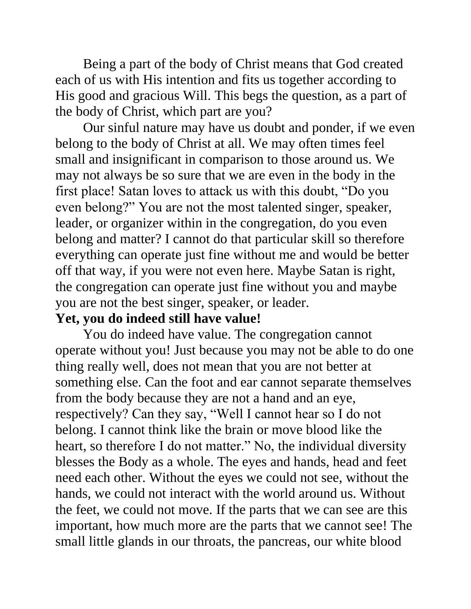Being a part of the body of Christ means that God created each of us with His intention and fits us together according to His good and gracious Will. This begs the question, as a part of the body of Christ, which part are you?

Our sinful nature may have us doubt and ponder, if we even belong to the body of Christ at all. We may often times feel small and insignificant in comparison to those around us. We may not always be so sure that we are even in the body in the first place! Satan loves to attack us with this doubt, "Do you even belong?" You are not the most talented singer, speaker, leader, or organizer within in the congregation, do you even belong and matter? I cannot do that particular skill so therefore everything can operate just fine without me and would be better off that way, if you were not even here. Maybe Satan is right, the congregation can operate just fine without you and maybe you are not the best singer, speaker, or leader.

### **Yet, you do indeed still have value!**

You do indeed have value. The congregation cannot operate without you! Just because you may not be able to do one thing really well, does not mean that you are not better at something else. Can the foot and ear cannot separate themselves from the body because they are not a hand and an eye, respectively? Can they say, "Well I cannot hear so I do not belong. I cannot think like the brain or move blood like the heart, so therefore I do not matter." No, the individual diversity blesses the Body as a whole. The eyes and hands, head and feet need each other. Without the eyes we could not see, without the hands, we could not interact with the world around us. Without the feet, we could not move. If the parts that we can see are this important, how much more are the parts that we cannot see! The small little glands in our throats, the pancreas, our white blood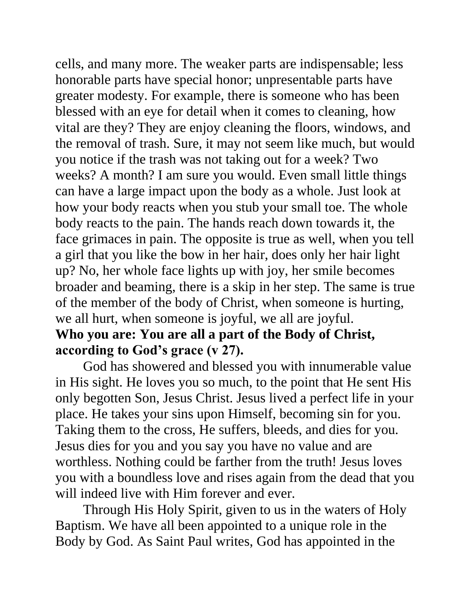cells, and many more. The weaker parts are indispensable; less honorable parts have special honor; unpresentable parts have greater modesty. For example, there is someone who has been blessed with an eye for detail when it comes to cleaning, how vital are they? They are enjoy cleaning the floors, windows, and the removal of trash. Sure, it may not seem like much, but would you notice if the trash was not taking out for a week? Two weeks? A month? I am sure you would. Even small little things can have a large impact upon the body as a whole. Just look at how your body reacts when you stub your small toe. The whole body reacts to the pain. The hands reach down towards it, the face grimaces in pain. The opposite is true as well, when you tell a girl that you like the bow in her hair, does only her hair light up? No, her whole face lights up with joy, her smile becomes broader and beaming, there is a skip in her step. The same is true of the member of the body of Christ, when someone is hurting, we all hurt, when someone is joyful, we all are joyful.

# **Who you are: You are all a part of the Body of Christ, according to God's grace (v 27).**

God has showered and blessed you with innumerable value in His sight. He loves you so much, to the point that He sent His only begotten Son, Jesus Christ. Jesus lived a perfect life in your place. He takes your sins upon Himself, becoming sin for you. Taking them to the cross, He suffers, bleeds, and dies for you. Jesus dies for you and you say you have no value and are worthless. Nothing could be farther from the truth! Jesus loves you with a boundless love and rises again from the dead that you will indeed live with Him forever and ever.

Through His Holy Spirit, given to us in the waters of Holy Baptism. We have all been appointed to a unique role in the Body by God. As Saint Paul writes, God has appointed in the